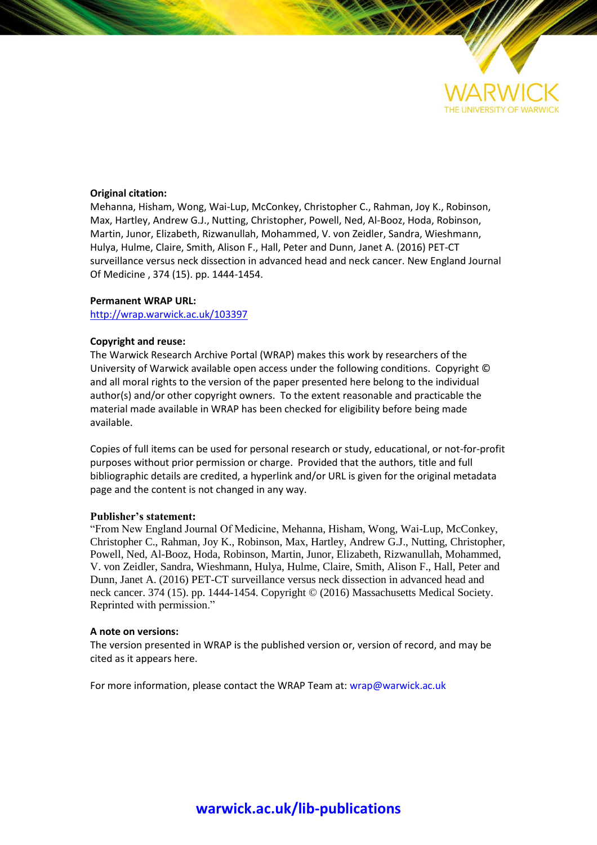

# **Original citation:**

Mehanna, Hisham, Wong, Wai-Lup, McConkey, Christopher C., Rahman, Joy K., Robinson, Max, Hartley, Andrew G.J., Nutting, Christopher, Powell, Ned, Al-Booz, Hoda, Robinson, Martin, Junor, Elizabeth, Rizwanullah, Mohammed, V. von Zeidler, Sandra, Wieshmann, Hulya, Hulme, Claire, Smith, Alison F., Hall, Peter and Dunn, Janet A. (2016) PET-CT surveillance versus neck dissection in advanced head and neck cancer. New England Journal Of Medicine , 374 (15). pp. 1444-1454.

# **Permanent WRAP URL:**

<http://wrap.warwick.ac.uk/103397>

# **Copyright and reuse:**

The Warwick Research Archive Portal (WRAP) makes this work by researchers of the University of Warwick available open access under the following conditions. Copyright © and all moral rights to the version of the paper presented here belong to the individual author(s) and/or other copyright owners. To the extent reasonable and practicable the material made available in WRAP has been checked for eligibility before being made available.

Copies of full items can be used for personal research or study, educational, or not-for-profit purposes without prior permission or charge. Provided that the authors, title and full bibliographic details are credited, a hyperlink and/or URL is given for the original metadata page and the content is not changed in any way.

# **Publisher's statement:**

"From New England Journal Of Medicine, Mehanna, Hisham, Wong, Wai-Lup, McConkey, Christopher C., Rahman, Joy K., Robinson, Max, Hartley, Andrew G.J., Nutting, Christopher, Powell, Ned, Al-Booz, Hoda, Robinson, Martin, Junor, Elizabeth, Rizwanullah, Mohammed, V. von Zeidler, Sandra, Wieshmann, Hulya, Hulme, Claire, Smith, Alison F., Hall, Peter and Dunn, Janet A. (2016) PET-CT surveillance versus neck dissection in advanced head and neck cancer. 374 (15). pp. 1444-1454. Copyright © (2016) Massachusetts Medical Society. Reprinted with permission."

## **A note on versions:**

The version presented in WRAP is the published version or, version of record, and may be cited as it appears here.

For more information, please contact the WRAP Team at[: wrap@warwick.ac.uk](mailto:wrap@warwick.ac.uk)

# **[warwick.ac.uk/lib-publications](http://go.warwick.ac.uk/lib-publications)**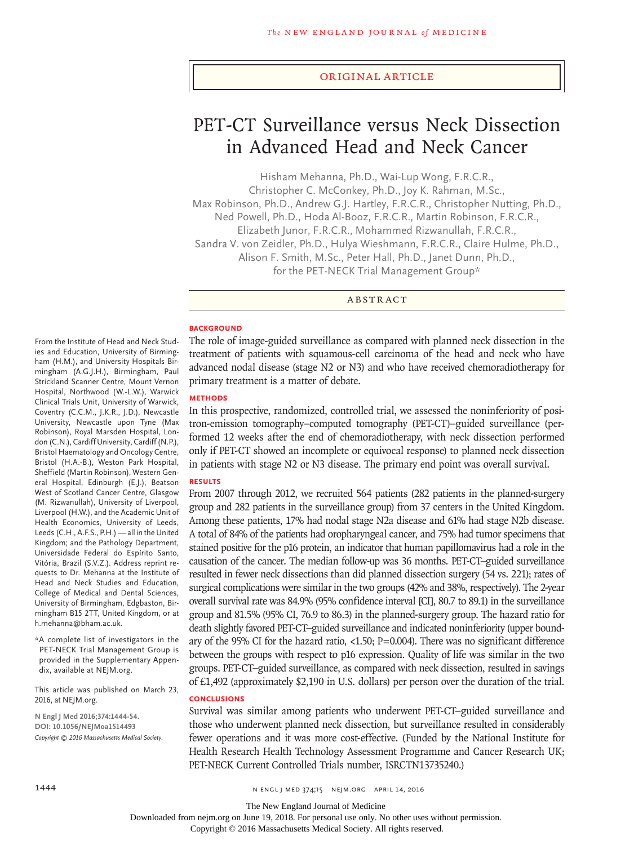#### Original Article

# PET-CT Surveillance versus Neck Dissection in Advanced Head and Neck Cancer

Hisham Mehanna, Ph.D., Wai-Lup Wong, F.R.C.R.,

Christopher C. McConkey, Ph.D., Joy K. Rahman, M.Sc.,

Max Robinson, Ph.D., Andrew G.J. Hartley, F.R.C.R., Christopher Nutting, Ph.D.,

Ned Powell, Ph.D., Hoda Al-Booz, F.R.C.R., Martin Robinson, F.R.C.R.,

Elizabeth Junor, F.R.C.R., Mohammed Rizwanullah, F.R.C.R.,

Sandra V. von Zeidler, Ph.D., Hulya Wieshmann, F.R.C.R., Claire Hulme, Ph.D., Alison F. Smith, M.Sc., Peter Hall, Ph.D., Janet Dunn, Ph.D.,

for the PET-NECK Trial Management Group\*

ABSTRACT

#### **BACKGROUND**

The role of image-guided surveillance as compared with planned neck dissection in the treatment of patients with squamous-cell carcinoma of the head and neck who have advanced nodal disease (stage N2 or N3) and who have received chemoradiotherapy for primary treatment is a matter of debate.

#### **METHODS**

In this prospective, randomized, controlled trial, we assessed the noninferiority of positron-emission tomography–computed tomography (PET-CT)–guided surveillance (performed 12 weeks after the end of chemoradiotherapy, with neck dissection performed only if PET-CT showed an incomplete or equivocal response) to planned neck dissection in patients with stage N2 or N3 disease. The primary end point was overall survival.

#### **RESULTS**

From 2007 through 2012, we recruited 564 patients (282 patients in the planned-surgery group and 282 patients in the surveillance group) from 37 centers in the United Kingdom. Among these patients, 17% had nodal stage N2a disease and 61% had stage N2b disease. A total of 84% of the patients had oropharyngeal cancer, and 75% had tumor specimens that stained positive for the p16 protein, an indicator that human papillomavirus had a role in the causation of the cancer. The median follow-up was 36 months. PET-CT–guided surveillance resulted in fewer neck dissections than did planned dissection surgery (54 vs. 221); rates of surgical complications were similar in the two groups (42% and 38%, respectively). The 2-year overall survival rate was 84.9% (95% confidence interval [CI], 80.7 to 89.1) in the surveillance group and 81.5% (95% CI, 76.9 to 86.3) in the planned-surgery group. The hazard ratio for death slightly favored PET-CT–guided surveillance and indicated noninferiority (upper boundary of the 95% CI for the hazard ratio, <1.50; P=0.004). There was no significant difference between the groups with respect to p16 expression. Quality of life was similar in the two groups. PET-CT–guided surveillance, as compared with neck dissection, resulted in savings of £1,492 (approximately \$2,190 in U.S. dollars) per person over the duration of the trial.

#### **CONCLUSIONS**

Survival was similar among patients who underwent PET-CT–guided surveillance and those who underwent planned neck dissection, but surveillance resulted in considerably fewer operations and it was more cost-effective. (Funded by the National Institute for Health Research Health Technology Assessment Programme and Cancer Research UK; PET-NECK Current Controlled Trials number, ISRCTN13735240.)

ies and Education, University of Birmingham (H.M.), and University Hospitals Birmingham (A.G.J.H.), Birmingham, Paul Strickland Scanner Centre, Mount Vernon Hospital, Northwood (W.-L.W.), Warwick Clinical Trials Unit, University of Warwick, Coventry (C.C.M., J.K.R., J.D.), Newcastle University, Newcastle upon Tyne (Max Robinson), Royal Marsden Hospital, London (C.N.), Cardiff University, Cardiff (N.P.), Bristol Haematology and Oncology Centre, Bristol (H.A.-B.), Weston Park Hospital, Sheffield (Martin Robinson), Western General Hospital, Edinburgh (E.J.), Beatson West of Scotland Cancer Centre, Glasgow (M. Rizwanullah), University of Liverpool, Liverpool (H.W.), and the Academic Unit of Health Economics, University of Leeds, Leeds (C.H., A.F.S., P.H.) — all in the United Kingdom; and the Pathology Department, Universidade Federal do Espírito Santo, Vitória, Brazil (S.V.Z.). Address reprint requests to Dr. Mehanna at the Institute of Head and Neck Studies and Education, College of Medical and Dental Sciences, University of Birmingham, Edgbaston, Birmingham B15 2TT, United Kingdom, or at h.mehanna@bham.ac.uk.

From the Institute of Head and Neck Stud-

\*A complete list of investigators in the PET-NECK Trial Management Group is provided in the Supplementary Appendix, available at NEJM.org.

This article was published on March 23, 2016, at NEJM.org.

**N Engl J Med 2016;374:1444-54. DOI: 10.1056/NEJMoa1514493** *Copyright © 2016 Massachusetts Medical Society.*

The New England Journal of Medicine

Downloaded from nejm.org on June 19, 2018. For personal use only. No other uses without permission.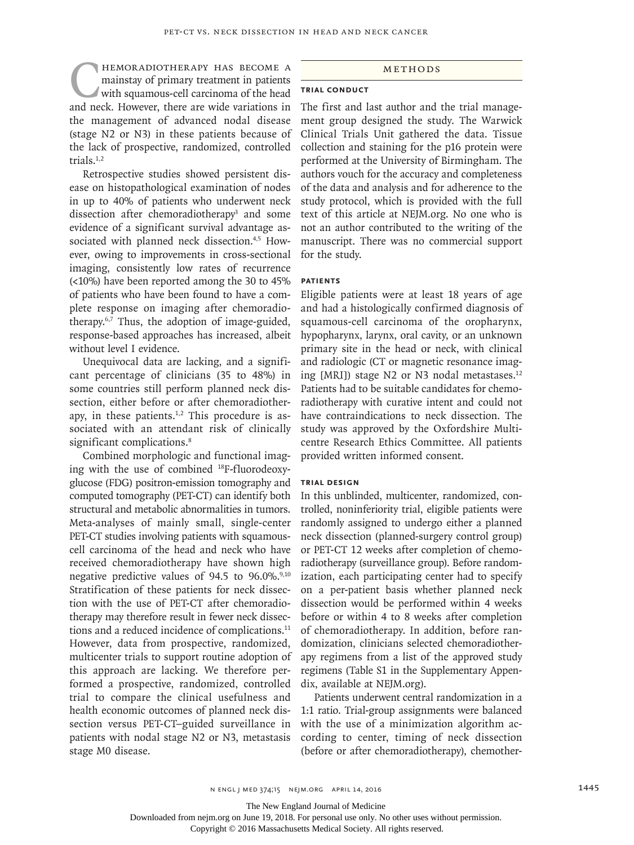# HEMORADIOTHERAPY HAS BECOME A<br>mainstay of primary treatment in patients<br>with squamous-cell carcinoma of the head<br>and neck. However, there are wide variations in mainstay of primary treatment in patients with squamous-cell carcinoma of the head and neck. However, there are wide variations in the management of advanced nodal disease (stage N2 or N3) in these patients because of the lack of prospective, randomized, controlled trials.<sup>1,2</sup>

Retrospective studies showed persistent disease on histopathological examination of nodes in up to 40% of patients who underwent neck dissection after chemoradiotherapy<sup>3</sup> and some evidence of a significant survival advantage associated with planned neck dissection.<sup>4,5</sup> However, owing to improvements in cross-sectional imaging, consistently low rates of recurrence (<10%) have been reported among the 30 to 45% of patients who have been found to have a complete response on imaging after chemoradiotherapy.6,7 Thus, the adoption of image-guided, response-based approaches has increased, albeit without level I evidence.

Unequivocal data are lacking, and a significant percentage of clinicians (35 to 48%) in some countries still perform planned neck dissection, either before or after chemoradiotherapy, in these patients.1,2 This procedure is associated with an attendant risk of clinically significant complications.<sup>8</sup>

Combined morphologic and functional imaging with the use of combined 18F-fluorodeoxyglucose (FDG) positron-emission tomography and computed tomography (PET-CT) can identify both structural and metabolic abnormalities in tumors. Meta-analyses of mainly small, single-center PET-CT studies involving patients with squamouscell carcinoma of the head and neck who have received chemoradiotherapy have shown high negative predictive values of 94.5 to  $96.0\%$ <sup>9,10</sup> Stratification of these patients for neck dissection with the use of PET-CT after chemoradiotherapy may therefore result in fewer neck dissections and a reduced incidence of complications.<sup>11</sup> However, data from prospective, randomized, multicenter trials to support routine adoption of this approach are lacking. We therefore performed a prospective, randomized, controlled trial to compare the clinical usefulness and health economic outcomes of planned neck dissection versus PET-CT–guided surveillance in patients with nodal stage N2 or N3, metastasis stage M0 disease.

#### Methods

## **Trial Conduct**

The first and last author and the trial management group designed the study. The Warwick Clinical Trials Unit gathered the data. Tissue collection and staining for the p16 protein were performed at the University of Birmingham. The authors vouch for the accuracy and completeness of the data and analysis and for adherence to the study protocol, which is provided with the full text of this article at NEJM.org. No one who is not an author contributed to the writing of the manuscript. There was no commercial support for the study.

### **Patients**

Eligible patients were at least 18 years of age and had a histologically confirmed diagnosis of squamous-cell carcinoma of the oropharynx, hypopharynx, larynx, oral cavity, or an unknown primary site in the head or neck, with clinical and radiologic (CT or magnetic resonance imaging [MRI]) stage N2 or N3 nodal metastases.<sup>12</sup> Patients had to be suitable candidates for chemoradiotherapy with curative intent and could not have contraindications to neck dissection. The study was approved by the Oxfordshire Multicentre Research Ethics Committee. All patients provided written informed consent.

#### **Trial Design**

In this unblinded, multicenter, randomized, controlled, noninferiority trial, eligible patients were randomly assigned to undergo either a planned neck dissection (planned-surgery control group) or PET-CT 12 weeks after completion of chemoradiotherapy (surveillance group). Before randomization, each participating center had to specify on a per-patient basis whether planned neck dissection would be performed within 4 weeks before or within 4 to 8 weeks after completion of chemoradiotherapy. In addition, before randomization, clinicians selected chemoradiotherapy regimens from a list of the approved study regimens (Table S1 in the Supplementary Appendix, available at NEJM.org).

Patients underwent central randomization in a 1:1 ratio. Trial-group assignments were balanced with the use of a minimization algorithm according to center, timing of neck dissection (before or after chemoradiotherapy), chemother-

The New England Journal of Medicine

Downloaded from nejm.org on June 19, 2018. For personal use only. No other uses without permission.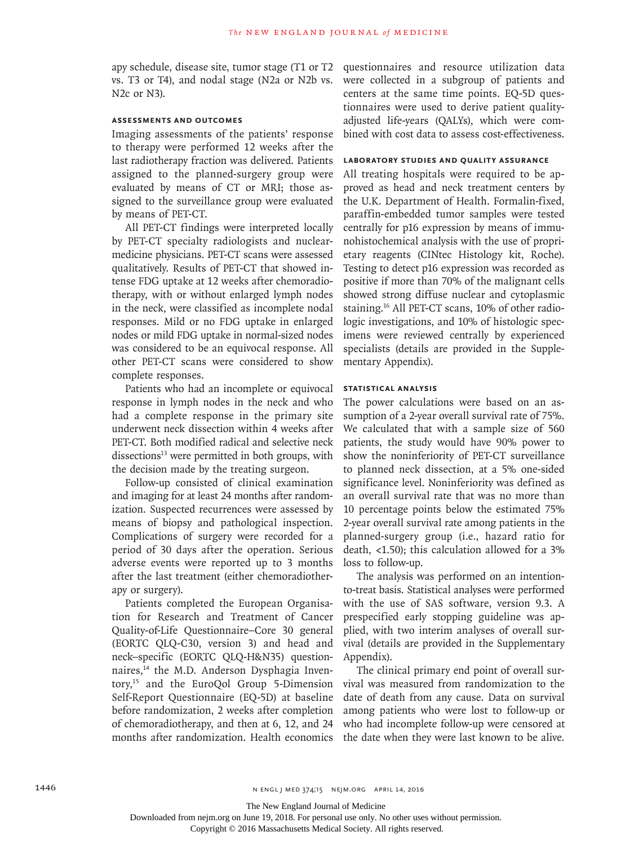apy schedule, disease site, tumor stage (T1 or T2 vs. T3 or T4), and nodal stage (N2a or N2b vs. N2c or N3).

#### **Assessments and Outcomes**

Imaging assessments of the patients' response to therapy were performed 12 weeks after the last radiotherapy fraction was delivered. Patients assigned to the planned-surgery group were evaluated by means of CT or MRI; those assigned to the surveillance group were evaluated by means of PET-CT.

All PET-CT findings were interpreted locally by PET-CT specialty radiologists and nuclearmedicine physicians. PET-CT scans were assessed qualitatively. Results of PET-CT that showed intense FDG uptake at 12 weeks after chemoradiotherapy, with or without enlarged lymph nodes in the neck, were classified as incomplete nodal responses. Mild or no FDG uptake in enlarged nodes or mild FDG uptake in normal-sized nodes was considered to be an equivocal response. All other PET-CT scans were considered to show complete responses.

Patients who had an incomplete or equivocal response in lymph nodes in the neck and who had a complete response in the primary site underwent neck dissection within 4 weeks after PET-CT. Both modified radical and selective neck  $dissections<sup>13</sup>$  were permitted in both groups, with the decision made by the treating surgeon.

Follow-up consisted of clinical examination and imaging for at least 24 months after randomization. Suspected recurrences were assessed by means of biopsy and pathological inspection. Complications of surgery were recorded for a period of 30 days after the operation. Serious adverse events were reported up to 3 months after the last treatment (either chemoradiotherapy or surgery).

Patients completed the European Organisation for Research and Treatment of Cancer Quality-of-Life Questionnaire–Core 30 general (EORTC QLQ-C30, version 3) and head and neck–specific (EORTC QLQ-H&N35) questionnaires,<sup>14</sup> the M.D. Anderson Dysphagia Inventory,15 and the EuroQol Group 5-Dimension Self-Report Questionnaire (EQ-5D) at baseline before randomization, 2 weeks after completion of chemoradiotherapy, and then at 6, 12, and 24 months after randomization. Health economics questionnaires and resource utilization data were collected in a subgroup of patients and centers at the same time points. EQ-5D questionnaires were used to derive patient qualityadjusted life-years (QALYs), which were combined with cost data to assess cost-effectiveness.

#### **Laboratory Studies and Quality Assurance**

All treating hospitals were required to be approved as head and neck treatment centers by the U.K. Department of Health. Formalin-fixed, paraffin-embedded tumor samples were tested centrally for p16 expression by means of immunohistochemical analysis with the use of proprietary reagents (CINtec Histology kit, Roche). Testing to detect p16 expression was recorded as positive if more than 70% of the malignant cells showed strong diffuse nuclear and cytoplasmic staining.16 All PET-CT scans, 10% of other radiologic investigations, and 10% of histologic specimens were reviewed centrally by experienced specialists (details are provided in the Supplementary Appendix).

#### **Statistical Analysis**

The power calculations were based on an assumption of a 2-year overall survival rate of 75%. We calculated that with a sample size of 560 patients, the study would have 90% power to show the noninferiority of PET-CT surveillance to planned neck dissection, at a 5% one-sided significance level. Noninferiority was defined as an overall survival rate that was no more than 10 percentage points below the estimated 75% 2-year overall survival rate among patients in the planned-surgery group (i.e., hazard ratio for death, <1.50); this calculation allowed for a 3% loss to follow-up.

The analysis was performed on an intentionto-treat basis. Statistical analyses were performed with the use of SAS software, version 9.3. A prespecified early stopping guideline was applied, with two interim analyses of overall survival (details are provided in the Supplementary Appendix).

The clinical primary end point of overall survival was measured from randomization to the date of death from any cause. Data on survival among patients who were lost to follow-up or who had incomplete follow-up were censored at the date when they were last known to be alive.

The New England Journal of Medicine

Downloaded from nejm.org on June 19, 2018. For personal use only. No other uses without permission.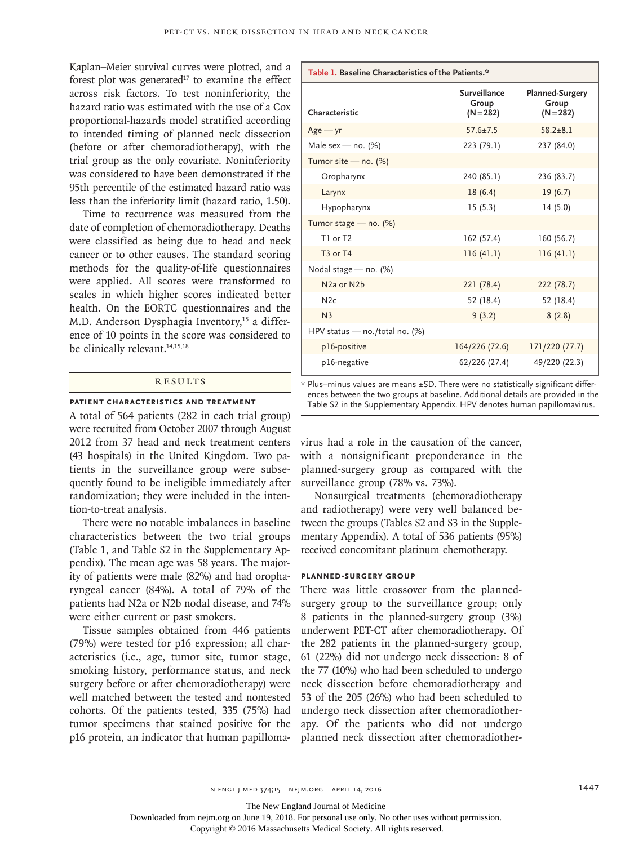Kaplan–Meier survival curves were plotted, and a forest plot was generated $17$  to examine the effect across risk factors. To test noninferiority, the hazard ratio was estimated with the use of a Cox proportional-hazards model stratified according to intended timing of planned neck dissection (before or after chemoradiotherapy), with the trial group as the only covariate. Noninferiority was considered to have been demonstrated if the 95th percentile of the estimated hazard ratio was less than the inferiority limit (hazard ratio, 1.50).

Time to recurrence was measured from the date of completion of chemoradiotherapy. Deaths were classified as being due to head and neck cancer or to other causes. The standard scoring methods for the quality-of-life questionnaires were applied. All scores were transformed to scales in which higher scores indicated better health. On the EORTC questionnaires and the M.D. Anderson Dysphagia Inventory,<sup>15</sup> a difference of 10 points in the score was considered to be clinically relevant.<sup>14,15,18</sup>

#### **RESULTS**

#### **Patient Characteristics and Treatment**

A total of 564 patients (282 in each trial group) were recruited from October 2007 through August 2012 from 37 head and neck treatment centers (43 hospitals) in the United Kingdom. Two patients in the surveillance group were subsequently found to be ineligible immediately after randomization; they were included in the intention-to-treat analysis.

There were no notable imbalances in baseline characteristics between the two trial groups (Table 1, and Table S2 in the Supplementary Appendix). The mean age was 58 years. The majority of patients were male (82%) and had oropharyngeal cancer (84%). A total of 79% of the patients had N2a or N2b nodal disease, and 74% were either current or past smokers.

Tissue samples obtained from 446 patients (79%) were tested for p16 expression; all characteristics (i.e., age, tumor site, tumor stage, smoking history, performance status, and neck surgery before or after chemoradiotherapy) were well matched between the tested and nontested cohorts. Of the patients tested, 335 (75%) had tumor specimens that stained positive for the p16 protein, an indicator that human papilloma-

| Table 1. Baseline Characteristics of the Patients.* |                                    |                                                |  |  |  |  |
|-----------------------------------------------------|------------------------------------|------------------------------------------------|--|--|--|--|
| Characteristic                                      | Surveillance<br>Group<br>(N = 282) | <b>Planned-Surgery</b><br>Group<br>$(N = 282)$ |  |  |  |  |
| $Age - yr$                                          | $57.6 \pm 7.5$                     | $58.2 + 8.1$                                   |  |  |  |  |
| Male sex - no. $(%)$                                | 223 (79.1)                         | 237 (84.0)                                     |  |  |  |  |
| Tumor site - no. (%)                                |                                    |                                                |  |  |  |  |
| Oropharynx                                          | 240 (85.1)                         | 236 (83.7)                                     |  |  |  |  |
| Larynx                                              | 18(6.4)                            | 19(6.7)                                        |  |  |  |  |
| Hypopharynx                                         | 15(5.3)                            | 14(5.0)                                        |  |  |  |  |
| Tumor stage - no. (%)                               |                                    |                                                |  |  |  |  |
| T1 or T2                                            | 162 (57.4)                         | 160 (56.7)                                     |  |  |  |  |
| T <sub>3</sub> or T <sub>4</sub>                    | 116(41.1)                          | 116(41.1)                                      |  |  |  |  |
| Nodal stage - no. (%)                               |                                    |                                                |  |  |  |  |
| N <sub>2</sub> a or N <sub>2</sub> b                | 221(78.4)                          | 222(78.7)                                      |  |  |  |  |
| N <sub>2c</sub>                                     | 52 (18.4)                          | 52 (18.4)                                      |  |  |  |  |
| N <sub>3</sub>                                      | 9(3.2)                             | 8(2.8)                                         |  |  |  |  |
| HPV status $-$ no./total no. (%)                    |                                    |                                                |  |  |  |  |
| p16-positive                                        | 164/226 (72.6)                     | 171/220 (77.7)                                 |  |  |  |  |
| p16-negative                                        | 62/226 (27.4)                      | 49/220 (22.3)                                  |  |  |  |  |

\* Plus–minus values are means ±SD. There were no statistically significant differences between the two groups at baseline. Additional details are provided in the Table S2 in the Supplementary Appendix. HPV denotes human papillomavirus.

virus had a role in the causation of the cancer, with a nonsignificant preponderance in the planned-surgery group as compared with the surveillance group (78% vs. 73%).

Nonsurgical treatments (chemoradiotherapy and radiotherapy) were very well balanced between the groups (Tables S2 and S3 in the Supplementary Appendix). A total of 536 patients (95%) received concomitant platinum chemotherapy.

#### **Planned-Surgery Group**

There was little crossover from the plannedsurgery group to the surveillance group; only 8 patients in the planned-surgery group (3%) underwent PET-CT after chemoradiotherapy. Of the 282 patients in the planned-surgery group, 61 (22%) did not undergo neck dissection: 8 of the 77 (10%) who had been scheduled to undergo neck dissection before chemoradiotherapy and 53 of the 205 (26%) who had been scheduled to undergo neck dissection after chemoradiotherapy. Of the patients who did not undergo planned neck dissection after chemoradiother-

n engl j med 374;15 nejm.org April 14, 2016 1497 1447

The New England Journal of Medicine

Downloaded from nejm.org on June 19, 2018. For personal use only. No other uses without permission.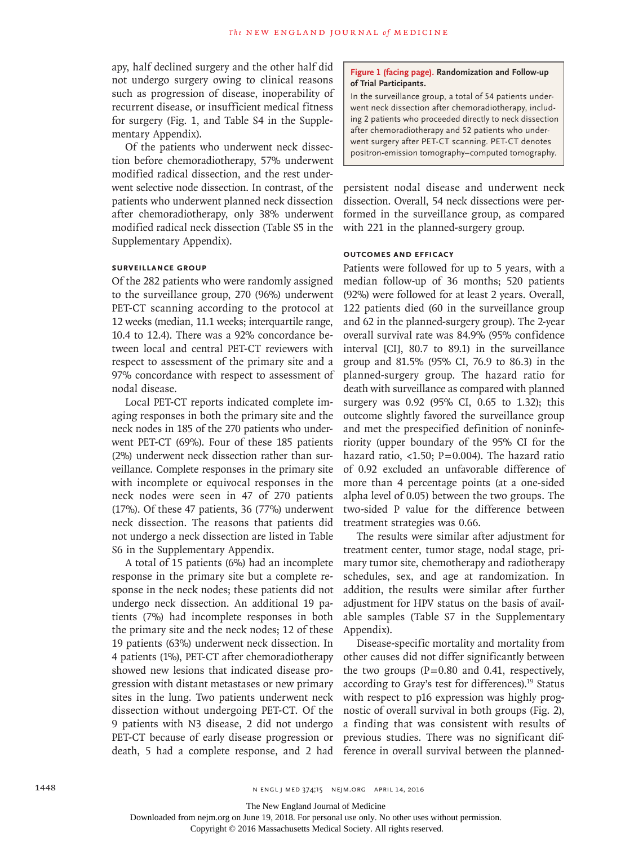apy, half declined surgery and the other half did not undergo surgery owing to clinical reasons such as progression of disease, inoperability of recurrent disease, or insufficient medical fitness for surgery (Fig. 1, and Table S4 in the Supplementary Appendix).

Of the patients who underwent neck dissection before chemoradiotherapy, 57% underwent modified radical dissection, and the rest underwent selective node dissection. In contrast, of the patients who underwent planned neck dissection after chemoradiotherapy, only 38% underwent modified radical neck dissection (Table S5 in the Supplementary Appendix).

#### **Surveillance Group**

Of the 282 patients who were randomly assigned to the surveillance group, 270 (96%) underwent PET-CT scanning according to the protocol at 12 weeks (median, 11.1 weeks; interquartile range, 10.4 to 12.4). There was a 92% concordance between local and central PET-CT reviewers with respect to assessment of the primary site and a 97% concordance with respect to assessment of nodal disease.

Local PET-CT reports indicated complete imaging responses in both the primary site and the neck nodes in 185 of the 270 patients who underwent PET-CT (69%). Four of these 185 patients (2%) underwent neck dissection rather than surveillance. Complete responses in the primary site with incomplete or equivocal responses in the neck nodes were seen in 47 of 270 patients (17%). Of these 47 patients, 36 (77%) underwent neck dissection. The reasons that patients did not undergo a neck dissection are listed in Table S6 in the Supplementary Appendix.

A total of 15 patients (6%) had an incomplete response in the primary site but a complete response in the neck nodes; these patients did not undergo neck dissection. An additional 19 patients (7%) had incomplete responses in both the primary site and the neck nodes; 12 of these 19 patients (63%) underwent neck dissection. In 4 patients (1%), PET-CT after chemoradiotherapy showed new lesions that indicated disease progression with distant metastases or new primary sites in the lung. Two patients underwent neck dissection without undergoing PET-CT. Of the 9 patients with N3 disease, 2 did not undergo PET-CT because of early disease progression or

#### **Figure 1 (facing page). Randomization and Follow-up of Trial Participants.**

In the surveillance group, a total of 54 patients underwent neck dissection after chemoradiotherapy, including 2 patients who proceeded directly to neck dissection after chemoradiotherapy and 52 patients who underwent surgery after PET-CT scanning. PET-CT denotes positron-emission tomography–computed tomography.

persistent nodal disease and underwent neck dissection. Overall, 54 neck dissections were performed in the surveillance group, as compared with 221 in the planned-surgery group.

#### **Outcomes and Efficacy**

Patients were followed for up to 5 years, with a median follow-up of 36 months; 520 patients (92%) were followed for at least 2 years. Overall, 122 patients died (60 in the surveillance group and 62 in the planned-surgery group). The 2-year overall survival rate was 84.9% (95% confidence interval [CI], 80.7 to 89.1) in the surveillance group and 81.5% (95% CI, 76.9 to 86.3) in the planned-surgery group. The hazard ratio for death with surveillance as compared with planned surgery was 0.92 (95% CI, 0.65 to 1.32); this outcome slightly favored the surveillance group and met the prespecified definition of noninferiority (upper boundary of the 95% CI for the hazard ratio, <1.50;  $P=0.004$ ). The hazard ratio of 0.92 excluded an unfavorable difference of more than 4 percentage points (at a one-sided alpha level of 0.05) between the two groups. The two-sided P value for the difference between treatment strategies was 0.66.

The results were similar after adjustment for treatment center, tumor stage, nodal stage, primary tumor site, chemotherapy and radiotherapy schedules, sex, and age at randomization. In addition, the results were similar after further adjustment for HPV status on the basis of available samples (Table S7 in the Supplementary Appendix).

death, 5 had a complete response, and 2 had ference in overall survival between the planned-Disease-specific mortality and mortality from other causes did not differ significantly between the two groups  $(P=0.80$  and 0.41, respectively, according to Gray's test for differences).<sup>19</sup> Status with respect to p16 expression was highly prognostic of overall survival in both groups (Fig. 2), a finding that was consistent with results of previous studies. There was no significant dif-

The New England Journal of Medicine

Downloaded from nejm.org on June 19, 2018. For personal use only. No other uses without permission.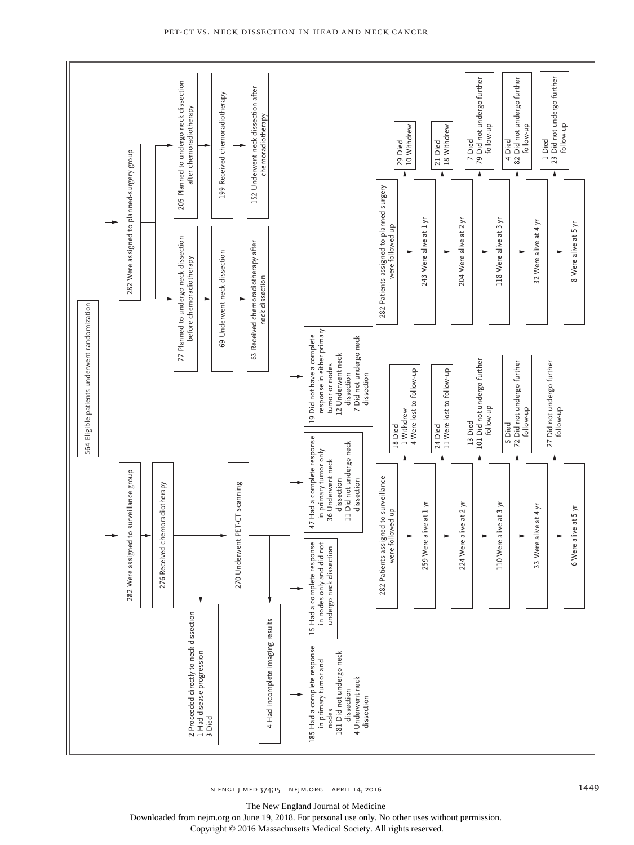

The New England Journal of Medicine Downloaded from nejm.org on June 19, 2018. For personal use only. No other uses without permission.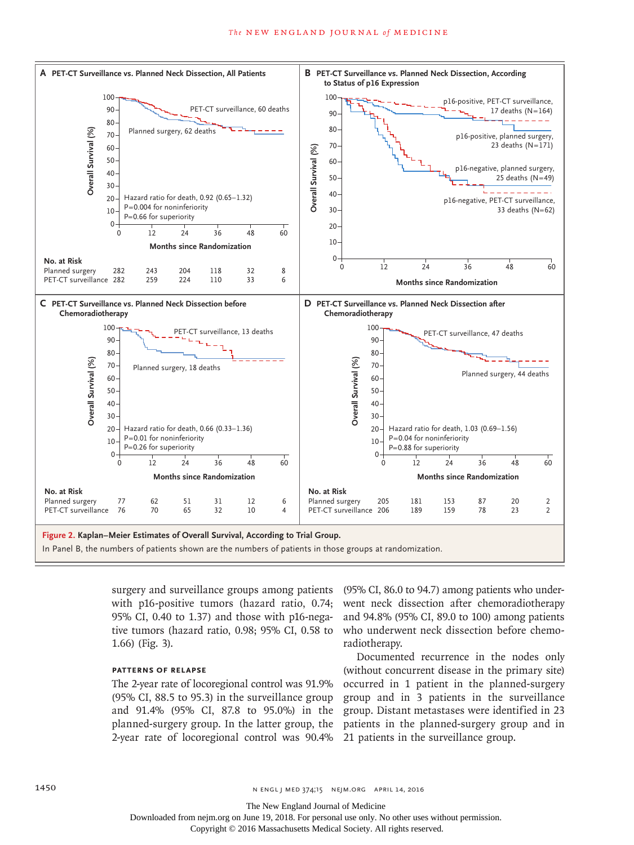

surgery and surveillance groups among patients with p16-positive tumors (hazard ratio, 0.74; 95% CI, 0.40 to 1.37) and those with p16-negative tumors (hazard ratio, 0.98; 95% CI, 0.58 to 1.66) (Fig. 3).

### **Patterns of Relapse**

(95% CI, 88.5 to 95.3) in the surveillance group and 91.4% (95% CI, 87.8 to 95.0%) in the 2-year rate of locoregional control was 90.4% 21 patients in the surveillance group.

(95% CI, 86.0 to 94.7) among patients who underwent neck dissection after chemoradiotherapy and 94.8% (95% CI, 89.0 to 100) among patients who underwent neck dissection before chemoradiotherapy.

The 2-year rate of locoregional control was 91.9% occurred in 1 patient in the planned-surgery planned-surgery group. In the latter group, the patients in the planned-surgery group and in Documented recurrence in the nodes only (without concurrent disease in the primary site) group and in 3 patients in the surveillance group. Distant metastases were identified in 23

The New England Journal of Medicine

Downloaded from nejm.org on June 19, 2018. For personal use only. No other uses without permission.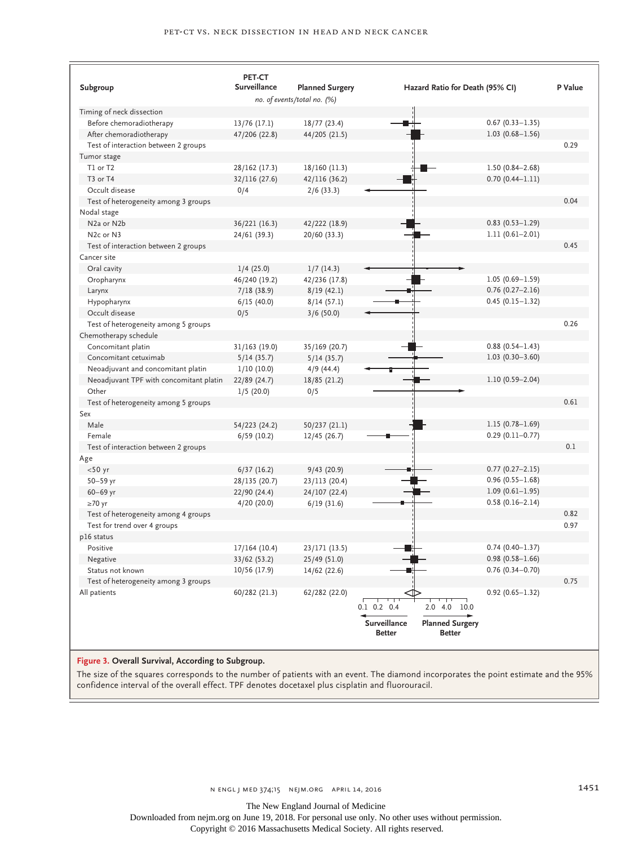| Subgroup                                             | PET-CT<br>Surveillance | <b>Planned Surgery</b>      |                                      | Hazard Ratio for Death (95% CI)         |                        | P Value |
|------------------------------------------------------|------------------------|-----------------------------|--------------------------------------|-----------------------------------------|------------------------|---------|
|                                                      |                        | no. of events/total no. (%) |                                      |                                         |                        |         |
| Timing of neck dissection                            |                        |                             |                                      |                                         |                        |         |
| Before chemoradiotherapy                             | 13/76 (17.1)           | 18/77 (23.4)                |                                      |                                         | $0.67(0.33 - 1.35)$    |         |
| After chemoradiotherapy                              | 47/206 (22.8)          | 44/205 (21.5)               |                                      |                                         | $1.03(0.68 - 1.56)$    |         |
| Test of interaction between 2 groups                 |                        |                             |                                      |                                         |                        | 0.29    |
| Tumor stage                                          |                        |                             |                                      |                                         |                        |         |
| T1 or T2                                             | 28/162 (17.3)          | 18/160 (11.3)               |                                      |                                         | $1.50(0.84 - 2.68)$    |         |
| T <sub>3</sub> or T <sub>4</sub>                     | 32/116 (27.6)          | 42/116 (36.2)               |                                      |                                         | $0.70(0.44 - 1.11)$    |         |
| Occult disease                                       | 0/4                    | $2/6$ (33.3)                |                                      |                                         |                        |         |
| Test of heterogeneity among 3 groups                 |                        |                             |                                      |                                         |                        | 0.04    |
| Nodal stage                                          |                        |                             |                                      |                                         |                        |         |
| N <sub>2</sub> a or N <sub>2</sub> b                 | 36/221 (16.3)          | 42/222 (18.9)               |                                      |                                         | $0.83(0.53 - 1.29)$    |         |
| N <sub>2c</sub> or N <sub>3</sub>                    | 24/61 (39.3)           | 20/60 (33.3)                |                                      |                                         | $1.11(0.61 - 2.01)$    |         |
| Test of interaction between 2 groups                 |                        |                             |                                      |                                         |                        | 0.45    |
| Cancer site                                          |                        |                             |                                      |                                         |                        |         |
| Oral cavity                                          | $1/4$ (25.0)           | $1/7$ (14.3)                |                                      |                                         |                        |         |
| Oropharynx                                           | 46/240 (19.2)          | 42/236 (17.8)               |                                      |                                         | $1.05(0.69 - 1.59)$    |         |
| Larynx                                               | 7/18(38.9)             | 8/19(42.1)                  |                                      |                                         | $0.76$ (0.27-2.16)     |         |
| Hypopharynx                                          | 6/15(40.0)             | 8/14(57.1)                  |                                      |                                         | $0.45(0.15 - 1.32)$    |         |
| Occult disease                                       | 0/5                    | $3/6$ (50.0)                |                                      |                                         |                        |         |
| Test of heterogeneity among 5 groups                 |                        |                             |                                      |                                         |                        | 0.26    |
| Chemotherapy schedule                                |                        |                             |                                      |                                         |                        |         |
| Concomitant platin                                   | 31/163 (19.0)          | 35/169 (20.7)               |                                      |                                         | $0.88(0.54 - 1.43)$    |         |
| Concomitant cetuximab                                | 5/14(35.7)             | 5/14(35.7)                  |                                      |                                         | $1.03(0.30-3.60)$      |         |
| Neoadjuvant and concomitant platin                   | 1/10(10.0)             | $4/9$ (44.4)                |                                      |                                         |                        |         |
| Neoadjuvant TPF with concomitant platin              | 22/89 (24.7)           | 18/85 (21.2)                |                                      |                                         | $1.10(0.59 - 2.04)$    |         |
| Other                                                | 1/5(20.0)              | 0/5                         |                                      |                                         |                        |         |
| Test of heterogeneity among 5 groups                 |                        |                             |                                      |                                         |                        | 0.61    |
| Sex                                                  |                        |                             |                                      |                                         |                        |         |
| Male                                                 | 54/223 (24.2)          | 50/237 (21.1)               |                                      |                                         | $1.15(0.78 - 1.69)$    |         |
| Female                                               | 6/59(10.2)             | 12/45 (26.7)                |                                      |                                         | $0.29(0.11 - 0.77)$    |         |
| Test of interaction between 2 groups                 |                        |                             |                                      |                                         |                        | 0.1     |
| Age                                                  |                        |                             |                                      |                                         |                        |         |
| $< 50$ yr                                            | 6/37(16.2)             | 9/43(20.9)                  |                                      |                                         | $0.77(0.27 - 2.15)$    |         |
| 50-59 yr                                             | 28/135 (20.7)          | 23/113 (20.4)               |                                      |                                         | $0.96(0.55 - 1.68)$    |         |
| $60 - 69$ yr                                         | 22/90 (24.4)           | 24/107 (22.4)               |                                      |                                         | $1.09(0.61 - 1.95)$    |         |
| $\geq 70$ yr                                         | 4/20 (20.0)            | 6/19(31.6)                  |                                      |                                         | $0.58(0.16 - 2.14)$    |         |
| Test of heterogeneity among 4 groups                 |                        |                             |                                      |                                         |                        | 0.82    |
| Test for trend over 4 groups                         |                        |                             |                                      |                                         |                        | 0.97    |
| p16 status                                           |                        |                             |                                      |                                         |                        |         |
| Positive                                             | 17/164 (10.4)          | 23/171 (13.5)               |                                      |                                         | $0.74(0.40 - 1.37)$    |         |
| Negative                                             | 33/62(53.2)            | 25/49 (51.0)                |                                      |                                         | $0.98(0.58 - 1.66)$    |         |
| Status not known                                     | 10/56 (17.9)           | 14/62 (22.6)                |                                      |                                         | $0.76$ $(0.34 - 0.70)$ |         |
|                                                      |                        |                             |                                      |                                         |                        | 0.75    |
| Test of heterogeneity among 3 groups<br>All patients | 60/282 (21.3)          |                             |                                      |                                         | $0.92$ (0.65-1.32)     |         |
|                                                      |                        | 62/282 (22.0)               | $0.1$ $0.2$ $0.4$                    | 2.0 4.0 10.0                            |                        |         |
|                                                      |                        |                             | <b>Surveillance</b><br><b>Better</b> | <b>Planned Surgery</b><br><b>Better</b> |                        |         |

#### **Figure 3. Overall Survival, According to Subgroup.**

The size of the squares corresponds to the number of patients with an event. The diamond incorporates the point estimate and the 95% confidence interval of the overall effect. TPF denotes docetaxel plus cisplatin and fluorouracil.

The New England Journal of Medicine

Downloaded from nejm.org on June 19, 2018. For personal use only. No other uses without permission.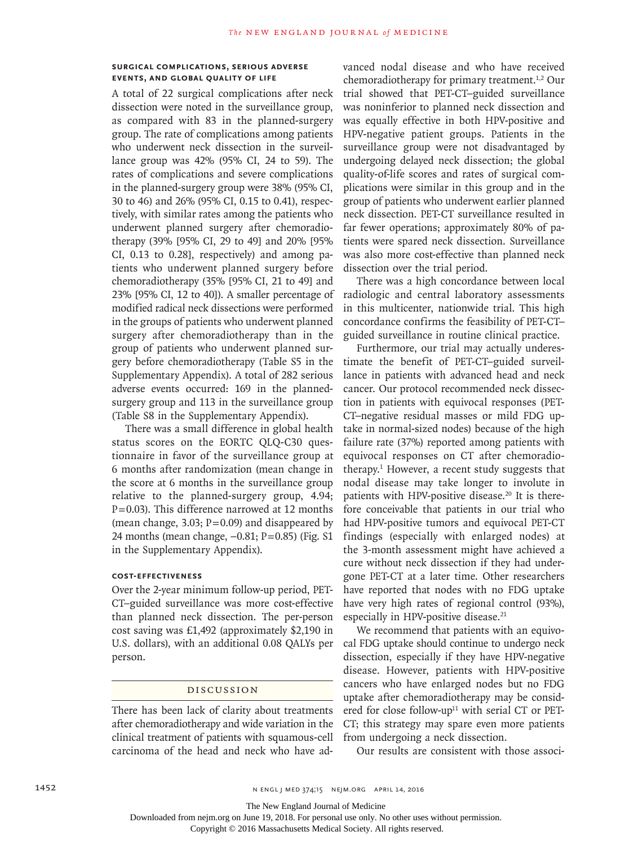#### **Surgical Complications, Serious Adverse Events, and Global Quality of Life**

A total of 22 surgical complications after neck dissection were noted in the surveillance group, as compared with 83 in the planned-surgery group. The rate of complications among patients who underwent neck dissection in the surveillance group was 42% (95% CI, 24 to 59). The rates of complications and severe complications in the planned-surgery group were 38% (95% CI, 30 to 46) and 26% (95% CI, 0.15 to 0.41), respectively, with similar rates among the patients who underwent planned surgery after chemoradiotherapy (39% [95% CI, 29 to 49] and 20% [95% CI, 0.13 to 0.28], respectively) and among patients who underwent planned surgery before chemoradiotherapy (35% [95% CI, 21 to 49] and 23% [95% CI, 12 to 40]). A smaller percentage of modified radical neck dissections were performed in the groups of patients who underwent planned surgery after chemoradiotherapy than in the group of patients who underwent planned surgery before chemoradiotherapy (Table S5 in the Supplementary Appendix). A total of 282 serious adverse events occurred: 169 in the plannedsurgery group and 113 in the surveillance group (Table S8 in the Supplementary Appendix).

There was a small difference in global health status scores on the EORTC QLQ-C30 questionnaire in favor of the surveillance group at 6 months after randomization (mean change in the score at 6 months in the surveillance group relative to the planned-surgery group, 4.94; P=0.03). This difference narrowed at 12 months (mean change, 3.03;  $P=0.09$ ) and disappeared by 24 months (mean change, −0.81; P=0.85) (Fig. S1 in the Supplementary Appendix).

#### **Cost-Effectiveness**

Over the 2-year minimum follow-up period, PET-CT–guided surveillance was more cost-effective than planned neck dissection. The per-person cost saving was £1,492 (approximately \$2,190 in U.S. dollars), with an additional 0.08 QALYs per person.

#### Discussion

There has been lack of clarity about treatments after chemoradiotherapy and wide variation in the clinical treatment of patients with squamous-cell carcinoma of the head and neck who have advanced nodal disease and who have received chemoradiotherapy for primary treatment.<sup>1,2</sup> Our trial showed that PET-CT–guided surveillance was noninferior to planned neck dissection and was equally effective in both HPV-positive and HPV-negative patient groups. Patients in the surveillance group were not disadvantaged by undergoing delayed neck dissection; the global quality-of-life scores and rates of surgical complications were similar in this group and in the group of patients who underwent earlier planned neck dissection. PET-CT surveillance resulted in far fewer operations; approximately 80% of patients were spared neck dissection. Surveillance was also more cost-effective than planned neck dissection over the trial period.

There was a high concordance between local radiologic and central laboratory assessments in this multicenter, nationwide trial. This high concordance confirms the feasibility of PET-CT– guided surveillance in routine clinical practice.

Furthermore, our trial may actually underestimate the benefit of PET-CT–guided surveillance in patients with advanced head and neck cancer. Our protocol recommended neck dissection in patients with equivocal responses (PET-CT–negative residual masses or mild FDG uptake in normal-sized nodes) because of the high failure rate (37%) reported among patients with equivocal responses on CT after chemoradiotherapy.<sup>1</sup> However, a recent study suggests that nodal disease may take longer to involute in patients with HPV-positive disease.<sup>20</sup> It is therefore conceivable that patients in our trial who had HPV-positive tumors and equivocal PET-CT findings (especially with enlarged nodes) at the 3-month assessment might have achieved a cure without neck dissection if they had undergone PET-CT at a later time. Other researchers have reported that nodes with no FDG uptake have very high rates of regional control (93%), especially in HPV-positive disease.<sup>21</sup>

We recommend that patients with an equivocal FDG uptake should continue to undergo neck dissection, especially if they have HPV-negative disease. However, patients with HPV-positive cancers who have enlarged nodes but no FDG uptake after chemoradiotherapy may be considered for close follow-up<sup>11</sup> with serial CT or PET-CT; this strategy may spare even more patients from undergoing a neck dissection.

Our results are consistent with those associ-

The New England Journal of Medicine

Downloaded from nejm.org on June 19, 2018. For personal use only. No other uses without permission.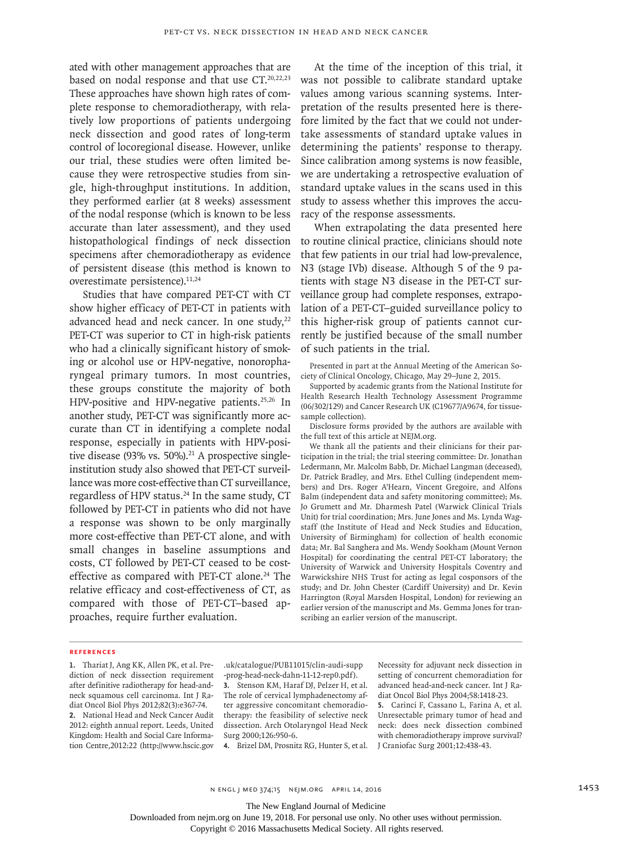ated with other management approaches that are based on nodal response and that use CT.<sup>20,22,23</sup> These approaches have shown high rates of complete response to chemoradiotherapy, with relatively low proportions of patients undergoing neck dissection and good rates of long-term control of locoregional disease. However, unlike our trial, these studies were often limited because they were retrospective studies from single, high-throughput institutions. In addition, they performed earlier (at 8 weeks) assessment of the nodal response (which is known to be less accurate than later assessment), and they used histopathological findings of neck dissection specimens after chemoradiotherapy as evidence of persistent disease (this method is known to overestimate persistence).<sup>11,24</sup>

Studies that have compared PET-CT with CT show higher efficacy of PET-CT in patients with advanced head and neck cancer. In one study,<sup>22</sup> PET-CT was superior to CT in high-risk patients who had a clinically significant history of smoking or alcohol use or HPV-negative, nonoropharyngeal primary tumors. In most countries, these groups constitute the majority of both HPV-positive and HPV-negative patients.<sup>25,26</sup> In another study, PET-CT was significantly more accurate than CT in identifying a complete nodal response, especially in patients with HPV-positive disease (93% vs. 50%). $21$  A prospective singleinstitution study also showed that PET-CT surveillance was more cost-effective than CT surveillance, regardless of HPV status.<sup>24</sup> In the same study, CT followed by PET-CT in patients who did not have a response was shown to be only marginally more cost-effective than PET-CT alone, and with small changes in baseline assumptions and costs, CT followed by PET-CT ceased to be costeffective as compared with PET-CT alone.<sup>24</sup> The relative efficacy and cost-effectiveness of CT, as compared with those of PET-CT–based approaches, require further evaluation.

At the time of the inception of this trial, it was not possible to calibrate standard uptake values among various scanning systems. Interpretation of the results presented here is therefore limited by the fact that we could not undertake assessments of standard uptake values in determining the patients' response to therapy. Since calibration among systems is now feasible, we are undertaking a retrospective evaluation of standard uptake values in the scans used in this study to assess whether this improves the accuracy of the response assessments.

When extrapolating the data presented here to routine clinical practice, clinicians should note that few patients in our trial had low-prevalence, N3 (stage IVb) disease. Although 5 of the 9 patients with stage N3 disease in the PET-CT surveillance group had complete responses, extrapolation of a PET-CT–guided surveillance policy to this higher-risk group of patients cannot currently be justified because of the small number of such patients in the trial.

Presented in part at the Annual Meeting of the American Society of Clinical Oncology, Chicago, May 29–June 2, 2015.

Supported by academic grants from the National Institute for Health Research Health Technology Assessment Programme (06/302/129) and Cancer Research UK (C19677/A9674, for tissuesample collection).

Disclosure forms provided by the authors are available with the full text of this article at NEJM.org.

We thank all the patients and their clinicians for their participation in the trial; the trial steering committee: Dr. Jonathan Ledermann, Mr. Malcolm Babb, Dr. Michael Langman (deceased), Dr. Patrick Bradley, and Mrs. Ethel Culling (independent members) and Drs. Roger A'Hearn, Vincent Gregoire, and Alfons Balm (independent data and safety monitoring committee); Ms. Jo Grumett and Mr. Dharmesh Patel (Warwick Clinical Trials Unit) for trial coordination; Mrs. June Jones and Ms. Lynda Wagstaff (the Institute of Head and Neck Studies and Education, University of Birmingham) for collection of health economic data; Mr. Bal Sanghera and Ms. Wendy Sookham (Mount Vernon Hospital) for coordinating the central PET-CT laboratory; the University of Warwick and University Hospitals Coventry and Warwickshire NHS Trust for acting as legal cosponsors of the study; and Dr. John Chester (Cardiff University) and Dr. Kevin Harrington (Royal Marsden Hospital, London) for reviewing an earlier version of the manuscript and Ms. Gemma Jones for transcribing an earlier version of the manuscript.

#### **References**

**1.** Thariat J, Ang KK, Allen PK, et al. Prediction of neck dissection requirement after definitive radiotherapy for head-andneck squamous cell carcinoma. Int J Radiat Oncol Biol Phys 2012;82(3):e367-74. **2.** National Head and Neck Cancer Audit 2012: eighth annual report. Leeds, United Kingdom: Health and Social Care Information Centre,2012:22 (http://www.hscic.gov .uk/catalogue/PUB11015/clin-audi-supp -prog-head-neck-dahn-11-12-rep0.pdf).

**3.** Stenson KM, Haraf DJ, Pelzer H, et al. The role of cervical lymphadenectomy after aggressive concomitant chemoradiotherapy: the feasibility of selective neck dissection. Arch Otolaryngol Head Neck Surg 2000;126:950-6.

**4.** Brizel DM, Prosnitz RG, Hunter S, et al. J Craniofac Surg 2001;12:438-43.

Necessity for adjuvant neck dissection in setting of concurrent chemoradiation for advanced head-and-neck cancer. Int J Radiat Oncol Biol Phys 2004;58:1418-23.

**5.** Carinci F, Cassano L, Farina A, et al. Unresectable primary tumor of head and neck: does neck dissection combined with chemoradiotherapy improve survival?

The New England Journal of Medicine

Downloaded from nejm.org on June 19, 2018. For personal use only. No other uses without permission.